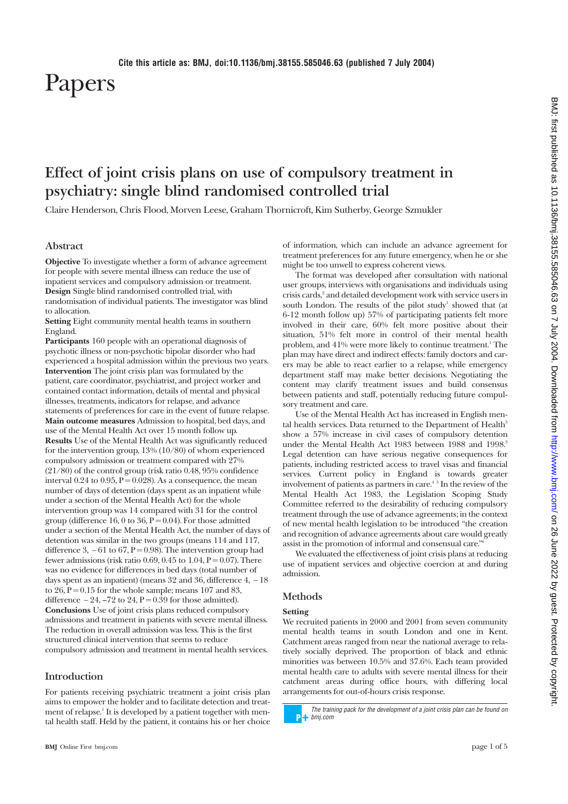# Papers

# **Effect of joint crisis plans on use of compulsory treatment in psychiatry: single blind randomised controlled trial**

Claire Henderson, Chris Flood, Morven Leese, Graham Thornicroft, Kim Sutherby, George Szmukler

# **Abstract**

**Objective** To investigate whether a form of advance agreement for people with severe mental illness can reduce the use of inpatient services and compulsory admission or treatment. **Design** Single blind randomised controlled trial, with randomisation of individual patients. The investigator was blind to allocation.

**Setting** Eight community mental health teams in southern England.

**Participants** 160 people with an operational diagnosis of psychotic illness or non-psychotic bipolar disorder who had experienced a hospital admission within the previous two years. **Intervention** The joint crisis plan was formulated by the patient, care coordinator, psychiatrist, and project worker and contained contact information, details of mental and physical illnesses, treatments, indicators for relapse, and advance statements of preferences for care in the event of future relapse. **Main outcome measures** Admission to hospital, bed days, and use of the Mental Health Act over 15 month follow up. **Results** Use of the Mental Health Act was significantly reduced for the intervention group, 13% (10/80) of whom experienced compulsory admission or treatment compared with 27% (21/80) of the control group (risk ratio 0.48, 95% confidence interval  $0.24$  to  $0.95$ ,  $P = 0.028$ ). As a consequence, the mean number of days of detention (days spent as an inpatient while under a section of the Mental Health Act) for the whole intervention group was 14 compared with 31 for the control group (difference 16, 0 to 36,  $\hat{P} = 0.04$ ). For those admitted under a section of the Mental Health Act, the number of days of detention was similar in the two groups (means 114 and 117, difference 3,  $-61$  to 67, P = 0.98). The intervention group had fewer admissions (risk ratio 0.69, 0.45 to 1.04,  $P = 0.07$ ). There was no evidence for differences in bed days (total number of days spent as an inpatient) (means 32 and 36, difference 4, − 18 to  $26$ ,  $P = 0.15$  for the whole sample; means 107 and 83, difference  $-24$ ,  $-72$  to  $24$ ,  $P = 0.39$  for those admitted). **Conclusions** Use of joint crisis plans reduced compulsory admissions and treatment in patients with severe mental illness. The reduction in overall admission was less. This is the first structured clinical intervention that seems to reduce compulsory admission and treatment in mental health services.

# **Introduction**

For patients receiving psychiatric treatment a joint crisis plan aims to empower the holder and to facilitate detection and treatment of relapse.<sup>1</sup> It is developed by a patient together with mental health staff. Held by the patient, it contains his or her choice of information, which can include an advance agreement for treatment preferences for any future emergency, when he or she might be too unwell to express coherent views.

The format was developed after consultation with national user groups, interviews with organisations and individuals using crisis cards,<sup>2</sup> and detailed development work with service users in south London. The results of the pilot study<sup>1</sup> showed that (at 6-12 month follow up) 57% of participating patients felt more involved in their care, 60% felt more positive about their situation, 51% felt more in control of their mental health problem, and  $41\%$  were more likely to continue treatment.<sup>1</sup> The plan may have direct and indirect effects: family doctors and carers may be able to react earlier to a relapse, while emergency department staff may make better decisions. Negotiating the content may clarify treatment issues and build consensus between patients and staff, potentially reducing future compulsory treatment and care.

Use of the Mental Health Act has increased in English mental health services. Data returned to the Department of Health<sup>3</sup> show a 57% increase in civil cases of compulsory detention under the Mental Health Act 1983 between 1988 and 1998.<sup>3</sup> Legal detention can have serious negative consequences for patients, including restricted access to travel visas and financial services. Current policy in England is towards greater involvement of patients as partners in care.<sup>45</sup> In the review of the Mental Health Act 1983, the Legislation Scoping Study Committee referred to the desirability of reducing compulsory treatment through the use of advance agreements; in the context of new mental health legislation to be introduced "the creation and recognition of advance agreements about care would greatly assist in the promotion of informal and consensual care."

We evaluated the effectiveness of joint crisis plans at reducing use of inpatient services and objective coercion at and during admission.

# **Methods**

#### **Setting**

We recruited patients in 2000 and 2001 from seven community mental health teams in south London and one in Kent. Catchment areas ranged from near the national average to relatively socially deprived. The proportion of black and ethnic minorities was between 10.5% and 37.6%. Each team provided mental health care to adults with severe mental illness for their catchment areas during office hours, with differing local arrangements for out-of-hours crisis response.

The training pack for the development of a joint crisis plan can be found on **PH** bmj.com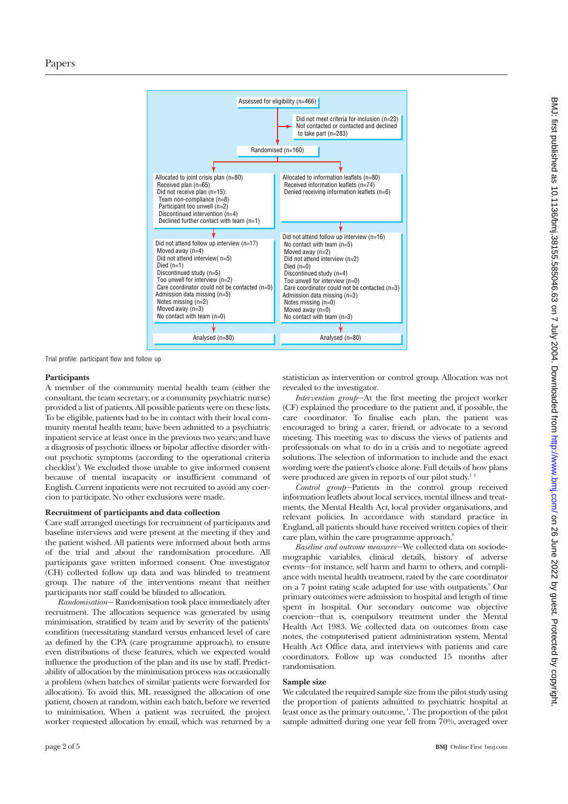

Trial profile: participant flow and follow up

# **Participants**

A member of the community mental health team (either the consultant, the team secretary, or a community psychiatric nurse) provided a list of patients. All possible patients were on these lists. To be eligible, patients had to be in contact with their local community mental health team; have been admitted to a psychiatric inpatient service at least once in the previous two years; and have a diagnosis of psychotic illness or bipolar affective disorder without psychotic symptoms (according to the operational criteria checklist<sup>7</sup>). We excluded those unable to give informed consent because of mental incapacity or insufficient command of English. Current inpatients were not recruited to avoid any coercion to participate. No other exclusions were made.

# **Recruitment of participants and data collection**

Care staff arranged meetings for recruitment of participants and baseline interviews and were present at the meeting if they and the patient wished. All patients were informed about both arms of the trial and about the randomisation procedure. All participants gave written informed consent. One investigator (CH) collected follow up data and was blinded to treatment group. The nature of the interventions meant that neither participants nor staff could be blinded to allocation.

*Randomisation*— Randomisation took place immediately after recruitment. The allocation sequence was generated by using minimisation, stratified by team and by severity of the patients' condition (necessitating standard versus enhanced level of care as defined by the CPA (care programme approach), to ensure even distributions of these features, which we expected would influence the production of the plan and its use by staff. Predictability of allocation by the minimisation process was occasionally a problem (when batches of similar patients were forwarded for allocation). To avoid this, ML reassigned the allocation of one patient, chosen at random, within each batch, before we reverted to minimisation. When a patient was recruited, the project worker requested allocation by email, which was returned by a statistician as intervention or control group. Allocation was not revealed to the investigator.

*Intervention group*—At the first meeting the project worker (CF) explained the procedure to the patient and, if possible, the care coordinator. To finalise each plan, the patient was encouraged to bring a carer, friend, or advocate to a second meeting. This meeting was to discuss the views of patients and professionals on what to do in a crisis and to negotiate agreed solutions. The selection of information to include and the exact wording were the patient's choice alone. Full details of how plans were produced are given in reports of our pilot study.<sup>12</sup>

*Control group*—Patients in the control group received information leaflets about local services, mental illness and treatments, the Mental Health Act, local provider organisations, and relevant policies. In accordance with standard practice in England, all patients should have received written copies of their care plan, within the care programme approach.<sup>8</sup>

*Baseline and outcome measures*—We collected data on sociodemographic variables, clinical details, history of adverse events—for instance, self harm and harm to others, and compliance with mental health treatment, rated by the care coordinator on a 7 point rating scale adapted for use with outpatients.<sup>9</sup> Our primary outcomes were admission to hospital and length of time spent in hospital. Our secondary outcome was objective coercion—that is, compulsory treatment under the Mental Health Act 1983. We collected data on outcomes from case notes, the computerised patient administration system, Mental Health Act Office data, and interviews with patients and care coordinators. Follow up was conducted 15 months after randomisation.

# **Sample size**

We calculated the required sample size from the pilot study using the proportion of patients admitted to psychiatric hospital at least once as the primary outcome, <sup>1</sup>. The proportion of the pilot sample admitted during one year fell from 70%, averaged over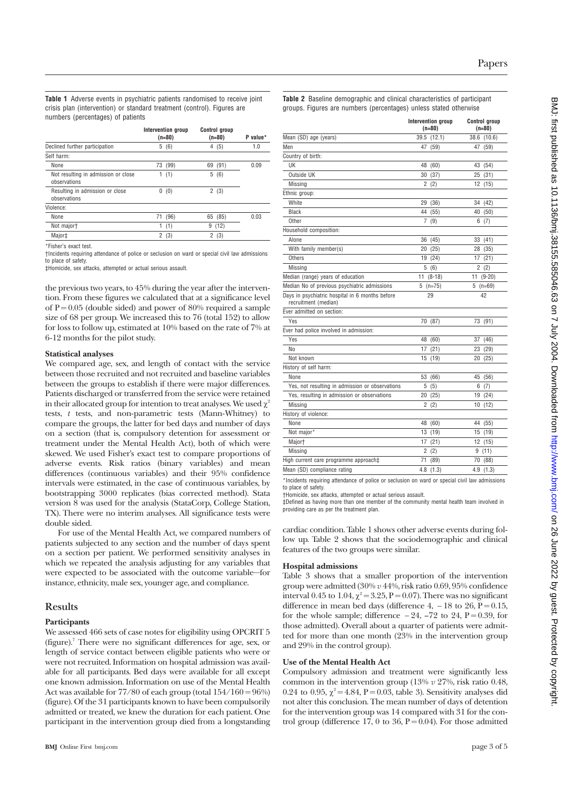**Table 1** Adverse events in psychiatric patients randomised to receive joint crisis plan (intervention) or standard treatment (control). Figures are numbers (percentages) of patients

|                                                     |                | Intervention group<br>$(n=80)$ | $(n=80)$ | <b>Control group</b> | P value* |
|-----------------------------------------------------|----------------|--------------------------------|----------|----------------------|----------|
| Declined further participation                      | 5              | (6)                            | 4        | (5)                  | 1.0      |
| Self harm:                                          |                |                                |          |                      |          |
| None                                                | 73             | (99)                           | 69       | (91)                 | 0.09     |
| Not resulting in admission or close<br>observations | 1              | (1)                            | 5        | (6)                  |          |
| Resulting in admission or close<br>observations     | 0              | (0)                            | 2(3)     |                      |          |
| Violence:                                           |                |                                |          |                      |          |
| None                                                | 71             | (96)                           | 65 (85)  |                      | 0.03     |
| Not majort                                          | 1              | (1)                            | 9        | (12)                 |          |
| Major‡                                              | $\overline{2}$ | (3)                            | 2        | (3)                  |          |

\*Fisher's exact test.

†Incidents requiring attendance of police or seclusion on ward or special civil law admissions to place of safety.

‡Homicide, sex attacks, attempted or actual serious assault.

the previous two years, to 45% during the year after the intervention. From these figures we calculated that at a significance level of  $P = 0.05$  (double sided) and power of 80% required a sample size of 68 per group. We increased this to 76 (total 152) to allow for loss to follow up, estimated at 10% based on the rate of 7% at 6-12 months for the pilot study.

#### **Statistical analyses**

We compared age, sex, and length of contact with the service between those recruited and not recruited and baseline variables between the groups to establish if there were major differences. Patients discharged or transferred from the service were retained in their allocated group for intention to treat analyses. We used  $\chi^2$ tests, *t* tests, and non-parametric tests (Mann-Whitney) to compare the groups, the latter for bed days and number of days on a section (that is, compulsory detention for assessment or treatment under the Mental Health Act), both of which were skewed. We used Fisher's exact test to compare proportions of adverse events. Risk ratios (binary variables) and mean differences (continuous variables) and their 95% confidence intervals were estimated, in the case of continuous variables, by bootstrapping 3000 replicates (bias corrected method). Stata version 8 was used for the analysis (StataCorp, College Station, TX). There were no interim analyses. All significance tests were double sided.

For use of the Mental Health Act, we compared numbers of patients subjected to any section and the number of days spent on a section per patient. We performed sensitivity analyses in which we repeated the analysis adjusting for any variables that were expected to be associated with the outcome variable—for instance, ethnicity, male sex, younger age, and compliance.

#### **Results**

#### **Participants**

We assessed 466 sets of case notes for eligibility using OPCRIT 5 (figure).7 There were no significant differences for age, sex, or length of service contact between eligible patients who were or were not recruited. Information on hospital admission was available for all participants. Bed days were available for all except one known admission. Information on use of the Mental Health Act was available for  $77/80$  of each group (total  $154/160 = 96\%$ ) (figure). Of the 31 participants known to have been compulsorily admitted or treated, we knew the duration for each patient. One participant in the intervention group died from a longstanding **Table 2** Baseline demographic and clinical characteristics of participant groups. Figures are numbers (percentages) unless stated otherwise

|                                                                         | Intervention group<br>$(n=80)$ | <b>Control group</b><br>$(n=80)$ |
|-------------------------------------------------------------------------|--------------------------------|----------------------------------|
| Mean (SD) age (years)                                                   | 39.5 (12.1)                    | 38.6 (10.6)                      |
| Men                                                                     | (59)<br>47                     | 47 (59)                          |
| Country of birth:                                                       |                                |                                  |
| UK                                                                      | 48<br>(60)                     | 43 (54)                          |
| Outside UK                                                              | 30 (37)                        | 25 (31)                          |
| Missing                                                                 | 2(2)                           | 12 (15)                          |
| Ethnic group:                                                           |                                |                                  |
| White                                                                   | 29<br>(36)                     | 34<br>(42)                       |
| <b>Black</b>                                                            | 44<br>(55)                     | 40 (50)                          |
| Other                                                                   | (9)<br>7                       | (7)<br>6.                        |
| Household composition:                                                  |                                |                                  |
| Alone                                                                   | 36<br>(45)                     | 33 (41)                          |
| With family member(s)                                                   | 20 (25)                        | 28 (35)                          |
| Others                                                                  | 19 (24)                        | 17 (21)                          |
| Missing                                                                 | 5(6)                           | 2(2)                             |
| Median (range) years of education                                       | 11 (8-18)                      | $11(9-20)$                       |
| Median No of previous psychiatric admissions                            | $5(n=75)$                      | $5(n=69)$                        |
| Days in psychiatric hospital in 6 months before<br>recruitment (median) | 29                             | 42                               |
| Ever admitted on section:                                               |                                |                                  |
| Yes                                                                     | 70 (87)                        | 73 (91)                          |
| Ever had police involved in admission:                                  |                                |                                  |
| Yes                                                                     | 48<br>(60)                     | (46)<br>37                       |
| No                                                                      | 17(21)                         | 23 (29)                          |
| Not known                                                               | 15<br>(19)                     | 20 (25)                          |
| History of self harm:                                                   |                                |                                  |
| None                                                                    | 53 (66)                        | 45 (56)                          |
| Yes, not resulting in admission or observations                         | 5 (5)                          | 6(7)                             |
| Yes, resulting in admission or observations                             | 20 (25)                        | 19 (24)                          |
| Missing                                                                 | 2(2)                           | 10(12)                           |
| History of violence:                                                    |                                |                                  |
| None                                                                    | 48<br>(60)                     | (55)<br>44                       |
| Not major*                                                              | 13<br>(19)                     | 15 (19)                          |
| Major <sup>+</sup>                                                      | 17<br>(21)                     | 12 (15)                          |
| Missing                                                                 | $\overline{2}$<br>(2)          | 9(11)                            |
| High current care programme approach‡                                   | 71<br>(89)                     | 70 (88)                          |
| Mean (SD) compliance rating                                             | 4.8(1.3)                       | 4.9(1.3)                         |

\*Incidents requiring attendance of police or seclusion on ward or special civil law admissions to place of safety.

†Homicide, sex attacks, attempted or actual serious assault.

‡Defined as having more than one member of the community mental health team involved in providing care as per the treatment plan.

cardiac condition. Table 1 shows other adverse events during follow up. Table 2 shows that the sociodemographic and clinical features of the two groups were similar.

#### **Hospital admissions**

Table 3 shows that a smaller proportion of the intervention group were admitted (30% *v* 44%, risk ratio 0.69, 95% confidence interval 0.45 to 1.04,  $\chi^2 = 3.25$ , P = 0.07). There was no significant difference in mean bed days (difference 4,  $-18$  to 26, P = 0.15, for the whole sample; difference  $-24$ ,  $-72$  to 24, P = 0.39, for those admitted). Overall about a quarter of patients were admitted for more than one month (23% in the intervention group and 29% in the control group).

# **Use of the Mental Health Act**

Compulsory admission and treatment were significantly less common in the intervention group (13% *v* 27%, risk ratio 0.48, 0.24 to 0.95,  $\chi^2 = 4.84$ , P = 0.03, table 3). Sensitivity analyses did not alter this conclusion. The mean number of days of detention for the intervention group was 14 compared with 31 for the control group (difference 17, 0 to 36,  $P = 0.04$ ). For those admitted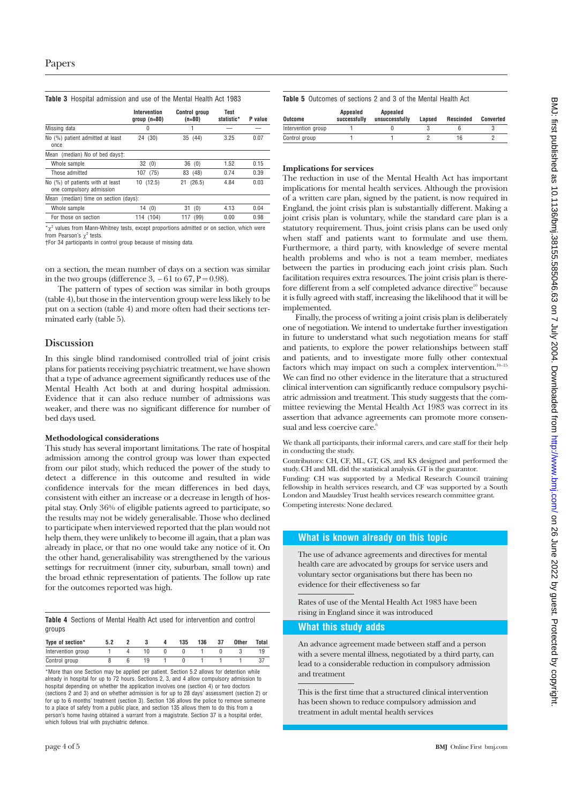# **Table 3** Hospital admission and use of the Mental Health Act 1983

|                                                              | Intervention<br>$qroup(n=80)$ | <b>Control aroup</b><br>$(n=80)$ | Test<br>statistic* | P value |
|--------------------------------------------------------------|-------------------------------|----------------------------------|--------------------|---------|
| Missing data                                                 | 0                             |                                  |                    |         |
| No (%) patient admitted at least<br>once                     | (30)<br>24                    | 35 (44)                          | 3.25               | 0.07    |
| Mean (median) No of bed dayst:                               |                               |                                  |                    |         |
| Whole sample                                                 | 32<br>(0)                     | 36<br>(0)                        | 1.52               | 0.15    |
| Those admitted                                               | (75)<br>107                   | (48)<br>83                       | 0.74               | 0.39    |
| No (%) of patients with at least<br>one compulsory admission | (12.5)<br>10                  | (26.5)<br>21                     | 4.84               | 0.03    |
| Mean (median) time on section (days):                        |                               |                                  |                    |         |
| Whole sample                                                 | 14<br>(0)                     | (0)<br>31                        | 4.13               | 0.04    |
| For those on section                                         | (104)<br>114                  | (99)<br>117                      | 0.00               | 0.98    |

 $x^2$  values from Mann-Whitney tests, except proportions admitted or on section, which were from Pearson's  $\gamma^2$  tests.

†For 34 participants in control group because of missing data.

on a section, the mean number of days on a section was similar in the two groups (difference 3,  $-61$  to 67, P = 0.98).

The pattern of types of section was similar in both groups (table 4), but those in the intervention group were less likely to be put on a section (table 4) and more often had their sections terminated early (table 5).

# **Discussion**

In this single blind randomised controlled trial of joint crisis plans for patients receiving psychiatric treatment, we have shown that a type of advance agreement significantly reduces use of the Mental Health Act both at and during hospital admission. Evidence that it can also reduce number of admissions was weaker, and there was no significant difference for number of bed days used.

#### **Methodological considerations**

This study has several important limitations. The rate of hospital admission among the control group was lower than expected from our pilot study, which reduced the power of the study to detect a difference in this outcome and resulted in wide confidence intervals for the mean differences in bed days, consistent with either an increase or a decrease in length of hospital stay. Only 36% of eligible patients agreed to participate, so the results may not be widely generalisable. Those who declined to participate when interviewed reported that the plan would not help them, they were unlikely to become ill again, that a plan was already in place, or that no one would take any notice of it. On the other hand, generalisability was strengthened by the various settings for recruitment (inner city, suburban, small town) and the broad ethnic representation of patients. The follow up rate for the outcomes reported was high.

|        |  |  |  | Table 4 Sections of Mental Health Act used for intervention and control |  |
|--------|--|--|--|-------------------------------------------------------------------------|--|
| groups |  |  |  |                                                                         |  |

| Type of section*   |  |  | 135 | 136 | 37 | Other | Total |
|--------------------|--|--|-----|-----|----|-------|-------|
| Intervention group |  |  |     |     |    |       |       |
| Control group      |  |  |     |     |    |       |       |

\*More than one Section may be applied per patient. Section 5.2 allows for detention while already in hospital for up to 72 hours. Sections 2, 3, and 4 allow compulsory admission to hospital depending on whether the application involves one (section 4) or two doctors (sections 2 and 3) and on whether admission is for up to 28 days' assessment (section 2) or for up to 6 months' treatment (section 3). Section 136 allows the police to remove someone to a place of safety from a public place, and section 135 allows them to do this from a person's home having obtained a warrant from a magistrate. Section 37 is a hospital order, which follows trial with psychiatric defence.

**Table 5** Outcomes of sections 2 and 3 of the Mental Health Act

| Outcome            | Appealed<br>successfully | Appealed<br>unsuccessfully | Lansed | Rescinded | Converted |
|--------------------|--------------------------|----------------------------|--------|-----------|-----------|
| Intervention group |                          |                            |        |           |           |
| Control group      |                          |                            |        |           |           |
|                    |                          |                            |        |           |           |

#### **Implications for services**

The reduction in use of the Mental Health Act has important implications for mental health services. Although the provision of a written care plan, signed by the patient, is now required in England, the joint crisis plan is substantially different. Making a joint crisis plan is voluntary, while the standard care plan is a statutory requirement. Thus, joint crisis plans can be used only when staff and patients want to formulate and use them. Furthermore, a third party, with knowledge of severe mental health problems and who is not a team member, mediates between the parties in producing each joint crisis plan. Such facilitation requires extra resources. The joint crisis plan is therefore different from a self completed advance directive<sup>10</sup> because it is fully agreed with staff, increasing the likelihood that it will be implemented.

Finally, the process of writing a joint crisis plan is deliberately one of negotiation. We intend to undertake further investigation in future to understand what such negotiation means for staff and patients, to explore the power relationships between staff and patients, and to investigate more fully other contextual factors which may impact on such a complex intervention.<sup>10–15</sup> We can find no other evidence in the literature that a structured clinical intervention can significantly reduce compulsory psychiatric admission and treatment. This study suggests that the committee reviewing the Mental Health Act 1983 was correct in its assertion that advance agreements can promote more consensual and less coercive care. $6$ 

We thank all participants, their informal carers, and care staff for their help in conducting the study.

Contributors: CH, CF, ML, GT, GS, and KS designed and performed the study. CH and ML did the statistical analysis. GT is the guarantor.

Funding: CH was supported by a Medical Research Council training fellowship in health services research, and CF was supported by a South London and Maudsley Trust health services research committee grant. Competing interests: None declared.

# **What is known already on this topic**

The use of advance agreements and directives for mental health care are advocated by groups for service users and voluntary sector organisations but there has been no evidence for their effectiveness so far

Rates of use of the Mental Health Act 1983 have been rising in England since it was introduced

#### **What this study adds**

An advance agreement made between staff and a person with a severe mental illness, negotiated by a third party, can lead to a considerable reduction in compulsory admission and treatment

This is the first time that a structured clinical intervention has been shown to reduce compulsory admission and treatment in adult mental health services